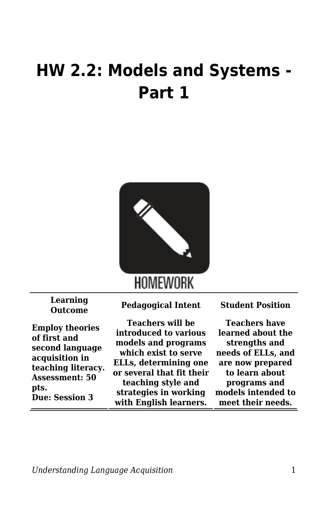## **HW 2.2: Models and Systems - Part 1**



**Learning**

**Employ theories of first and second language acquisition in teaching literacy. Assessment: 50 pts. Due: Session 3**

**Outcome Pedagogical Intent Student Position**

**Teachers will be introduced to various models and programs which exist to serve ELLs, determining one or several that fit their teaching style and strategies in working with English learners.**

**Teachers have learned about the strengths and needs of ELLs, and are now prepared to learn about programs and models intended to meet their needs.**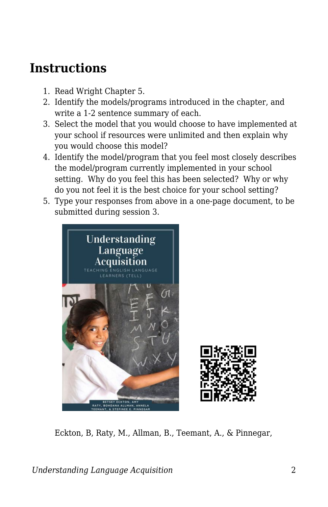## **Instructions**

- 1. Read Wright Chapter 5.
- 2. Identify the models/programs introduced in the chapter, and write a 1-2 sentence summary of each.
- 3. Select the model that you would choose to have implemented at your school if resources were unlimited and then explain why you would choose this model?
- 4. Identify the model/program that you feel most closely describes the model/program currently implemented in your school setting. Why do you feel this has been selected? Why or why do you not feel it is the best choice for your school setting?
- 5. Type your responses from above in a one-page document, to be submitted during session 3.



Eckton, B, Raty, M., Allman, B., Teemant, A., & Pinnegar,

*Understanding Language Acquisition* 2